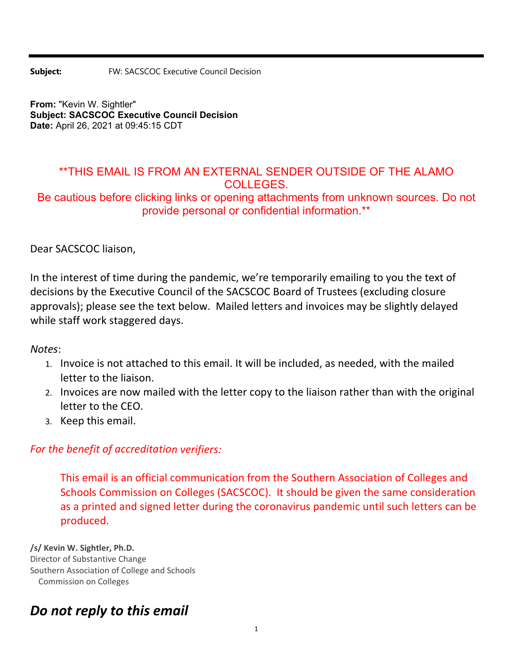**Subject:** FW: SACSCOC Executive Council Decision

**From:** "Kevin W. Sightler" **Subject: SACSCOC Executive Council Decision Date:** April 26, 2021 at 09:45:15 CDT

## \*\*THIS EMAIL IS FROM AN EXTERNAL SENDER OUTSIDE OF THE ALAMO COLLEGES.

Be cautious before clicking links or opening attachments from unknown sources. Do not provide personal or confidential information.\*\*

Dear SACSCOC liaison,

In the interest of time during the pandemic, we're temporarily emailing to you the text of decisions by the Executive Council of the SACSCOC Board of Trustees (excluding closure approvals); please see the text below. Mailed letters and invoices may be slightly delayed while staff work staggered days.

*Notes*:

- 1. Invoice is not attached to this email. It will be included, as needed, with the mailed letter to the liaison.
- 2. Invoices are now mailed with the letter copy to the liaison rather than with the original letter to the CEO.
- 3. Keep this email.

## *For the benefit of accreditation verifiers:*

This email is an official communication from the Southern Association of Colleges and Schools Commission on Colleges (SACSCOC). It should be given the same consideration as a printed and signed letter during the coronavirus pandemic until such letters can be produced.

**/s/ Kevin W. Sightler, Ph.D.** Director of Substantive Change Southern Association of College and Schools Commission on Colleges

## *Do not reply to this email*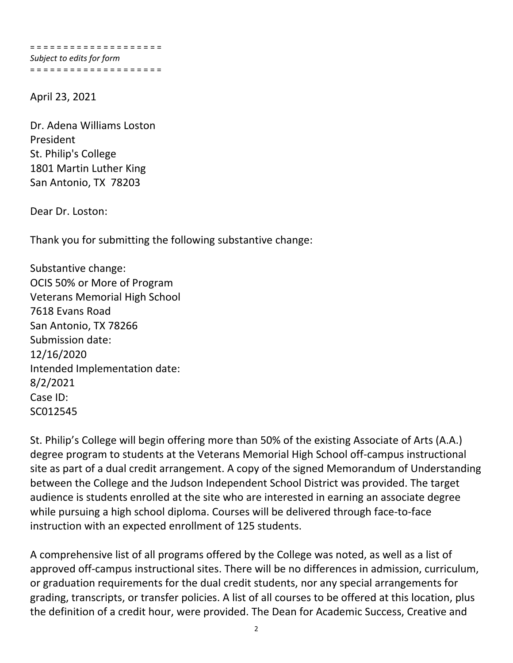= = = = = = = = = = = = = = = = = = = = *Subject to edits for form* = = = = = = = = = = = = = = = = = = = =

April 23, 2021

Dr. Adena Williams Loston President St. Philip's College 1801 Martin Luther King San Antonio, TX 78203

Dear Dr. Loston:

Thank you for submitting the following substantive change:

Substantive change: OCIS 50% or More of Program Veterans Memorial High School 7618 Evans Road San Antonio, TX 78266 Submission date: 12/16/2020 Intended Implementation date: 8/2/2021 Case ID: SC012545

St. Philip's College will begin offering more than 50% of the existing Associate of Arts (A.A.) degree program to students at the Veterans Memorial High School off‐campus instructional site as part of a dual credit arrangement. A copy of the signed Memorandum of Understanding between the College and the Judson Independent School District was provided. The target audience is students enrolled at the site who are interested in earning an associate degree while pursuing a high school diploma. Courses will be delivered through face-to-face instruction with an expected enrollment of 125 students.

A comprehensive list of all programs offered by the College was noted, as well as a list of approved off-campus instructional sites. There will be no differences in admission, curriculum, or graduation requirements for the dual credit students, nor any special arrangements for grading, transcripts, or transfer policies. A list of all courses to be offered at this location, plus the definition of a credit hour, were provided. The Dean for Academic Success, Creative and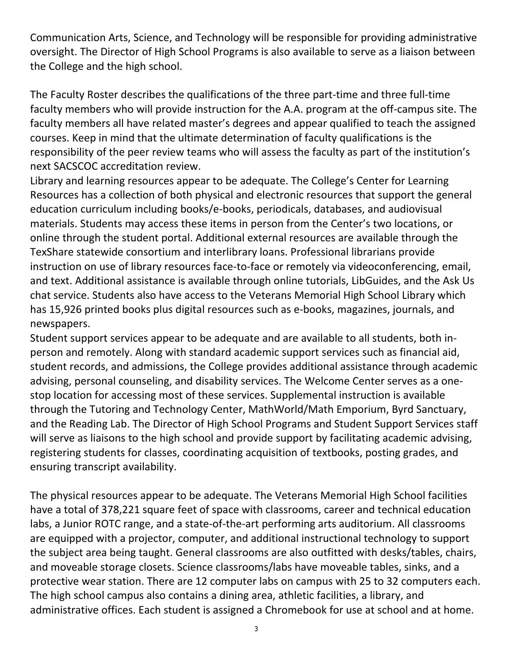Communication Arts, Science, and Technology will be responsible for providing administrative oversight. The Director of High School Programs is also available to serve as a liaison between the College and the high school.

The Faculty Roster describes the qualifications of the three part‐time and three full‐time faculty members who will provide instruction for the A.A. program at the off-campus site. The faculty members all have related master's degrees and appear qualified to teach the assigned courses. Keep in mind that the ultimate determination of faculty qualifications is the responsibility of the peer review teams who will assess the faculty as part of the institution's next SACSCOC accreditation review.

Library and learning resources appear to be adequate. The College's Center for Learning Resources has a collection of both physical and electronic resources that support the general education curriculum including books/e‐books, periodicals, databases, and audiovisual materials. Students may access these items in person from the Center's two locations, or online through the student portal. Additional external resources are available through the TexShare statewide consortium and interlibrary loans. Professional librarians provide instruction on use of library resources face-to-face or remotely via videoconferencing, email, and text. Additional assistance is available through online tutorials, LibGuides, and the Ask Us chat service. Students also have access to the Veterans Memorial High School Library which has 15,926 printed books plus digital resources such as e‐books, magazines, journals, and newspapers.

Student support services appear to be adequate and are available to all students, both in‐ person and remotely. Along with standard academic support services such as financial aid, student records, and admissions, the College provides additional assistance through academic advising, personal counseling, and disability services. The Welcome Center serves as a one‐ stop location for accessing most of these services. Supplemental instruction is available through the Tutoring and Technology Center, MathWorld/Math Emporium, Byrd Sanctuary, and the Reading Lab. The Director of High School Programs and Student Support Services staff will serve as liaisons to the high school and provide support by facilitating academic advising, registering students for classes, coordinating acquisition of textbooks, posting grades, and ensuring transcript availability.

The physical resources appear to be adequate. The Veterans Memorial High School facilities have a total of 378,221 square feet of space with classrooms, career and technical education labs, a Junior ROTC range, and a state-of-the-art performing arts auditorium. All classrooms are equipped with a projector, computer, and additional instructional technology to support the subject area being taught. General classrooms are also outfitted with desks/tables, chairs, and moveable storage closets. Science classrooms/labs have moveable tables, sinks, and a protective wear station. There are 12 computer labs on campus with 25 to 32 computers each. The high school campus also contains a dining area, athletic facilities, a library, and administrative offices. Each student is assigned a Chromebook for use at school and at home.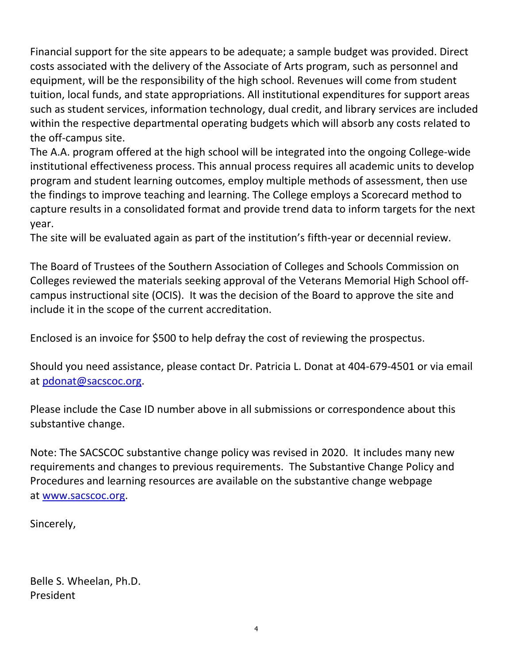Financial support for the site appears to be adequate; a sample budget was provided. Direct costs associated with the delivery of the Associate of Arts program, such as personnel and equipment, will be the responsibility of the high school. Revenues will come from student tuition, local funds, and state appropriations. All institutional expenditures for support areas such as student services, information technology, dual credit, and library services are included within the respective departmental operating budgets which will absorb any costs related to the off‐campus site.

The A.A. program offered at the high school will be integrated into the ongoing College‐wide institutional effectiveness process. This annual process requires all academic units to develop program and student learning outcomes, employ multiple methods of assessment, then use the findings to improve teaching and learning. The College employs a Scorecard method to capture results in a consolidated format and provide trend data to inform targets for the next year.

The site will be evaluated again as part of the institution's fifth‐year or decennial review.

The Board of Trustees of the Southern Association of Colleges and Schools Commission on Colleges reviewed the materials seeking approval of the Veterans Memorial High School off‐ campus instructional site (OCIS). It was the decision of the Board to approve the site and include it in the scope of the current accreditation.

Enclosed is an invoice for \$500 to help defray the cost of reviewing the prospectus.

Should you need assistance, please contact Dr. Patricia L. Donat at 404‐679‐4501 or via email at pdonat@sacscoc.org.

Please include the Case ID number above in all submissions or correspondence about this substantive change.

Note: The SACSCOC substantive change policy was revised in 2020. It includes many new requirements and changes to previous requirements. The Substantive Change Policy and Procedures and learning resources are available on the substantive change webpage at www.sacscoc.org.

Sincerely,

Belle S. Wheelan, Ph.D. President